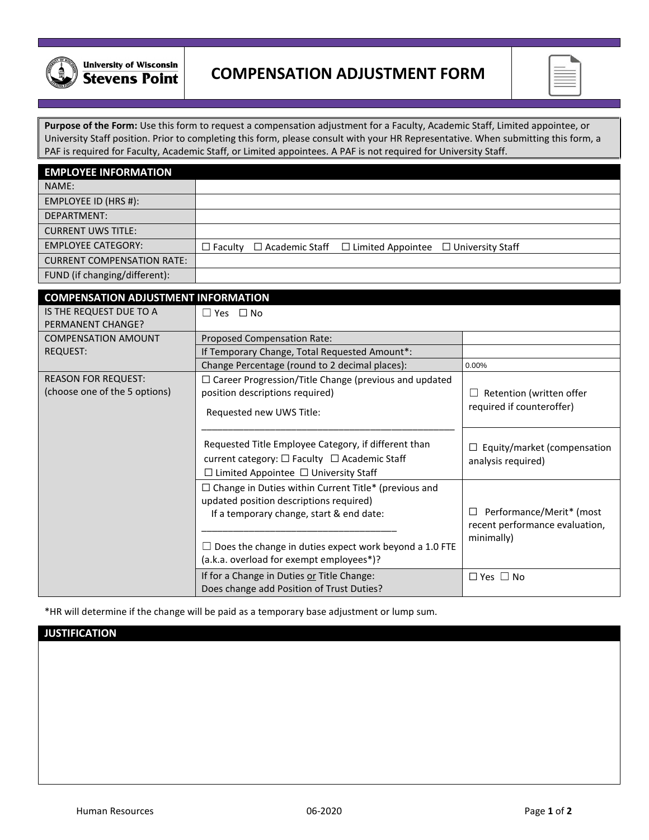

## **COMPENSATION ADJUSTMENT FORM**

**Purpose of the Form:** Use this form to request a compensation adjustment for a Faculty, Academic Staff, Limited appointee, or University Staff position. Prior to completing this form, please consult with your HR Representative. When submitting this form, a PAF is required for Faculty, Academic Staff, or Limited appointees. A PAF is not required for University Staff.

| <b>EMPLOYEE INFORMATION</b>       |  |                                                                                       |  |
|-----------------------------------|--|---------------------------------------------------------------------------------------|--|
| NAME:                             |  |                                                                                       |  |
| EMPLOYEE ID (HRS #):              |  |                                                                                       |  |
| DEPARTMENT:                       |  |                                                                                       |  |
| <b>CURRENT UWS TITLE:</b>         |  |                                                                                       |  |
| <b>EMPLOYEE CATEGORY:</b>         |  | $\Box$ Faculty $\Box$ Academic Staff $\Box$ Limited Appointee $\Box$ University Staff |  |
| <b>CURRENT COMPENSATION RATE:</b> |  |                                                                                       |  |
| FUND (if changing/different):     |  |                                                                                       |  |

| <b>COMPENSATION ADJUSTMENT INFORMATION</b> |                                                                                                                                                          |                                                            |
|--------------------------------------------|----------------------------------------------------------------------------------------------------------------------------------------------------------|------------------------------------------------------------|
| IS THE REQUEST DUE TO A                    | $\Box$ Yes $\Box$ No                                                                                                                                     |                                                            |
| PERMANENT CHANGE?                          |                                                                                                                                                          |                                                            |
| <b>COMPENSATION AMOUNT</b>                 | Proposed Compensation Rate:                                                                                                                              |                                                            |
| REQUEST:                                   | If Temporary Change, Total Requested Amount*:                                                                                                            |                                                            |
|                                            | Change Percentage (round to 2 decimal places):                                                                                                           | $0.00\%$                                                   |
| <b>REASON FOR REQUEST:</b>                 | $\Box$ Career Progression/Title Change (previous and updated                                                                                             |                                                            |
| (choose one of the 5 options)              | position descriptions required)                                                                                                                          | Retention (written offer                                   |
|                                            | Requested new UWS Title:                                                                                                                                 | required if counteroffer)                                  |
|                                            | Requested Title Employee Category, if different than<br>current category: □ Faculty □ Academic Staff<br>$\Box$ Limited Appointee $\Box$ University Staff | $\Box$ Equity/market (compensation<br>analysis required)   |
|                                            | $\Box$ Change in Duties within Current Title* (previous and<br>updated position descriptions required)<br>If a temporary change, start & end date:       | Performance/Merit* (most<br>recent performance evaluation, |
|                                            | Does the change in duties expect work beyond a 1.0 FTE<br>(a.k.a. overload for exempt employees*)?                                                       | minimally)                                                 |
|                                            | If for a Change in Duties or Title Change:<br>Does change add Position of Trust Duties?                                                                  | $\Box$ Yes $\Box$ No                                       |

\*HR will determine if the change will be paid as a temporary base adjustment or lump sum.

## **JUSTIFICATION**